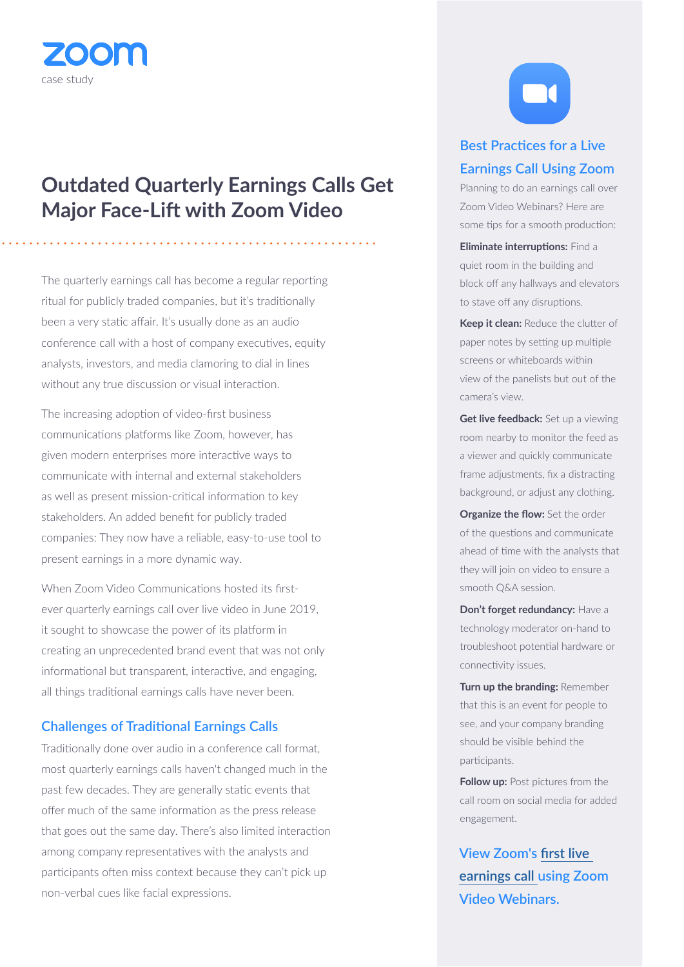

# **Outdated Quarterly Earnings Calls Get Major Face-Lift with Zoom Video**

The quarterly earnings call has become a regular reporting ritual for publicly traded companies, but it's traditionally been a very static affair. It's usually done as an audio conference call with a host of company executives, equity analysts, investors, and media clamoring to dial in lines without any true discussion or visual interaction.

The increasing adoption of video-first business communications platforms like Zoom, however, has given modern enterprises more interactive ways to communicate with internal and external stakeholders as well as present mission-critical information to key stakeholders. An added benefit for publicly traded companies: They now have a reliable, easy-to-use tool to present earnings in a more dynamic way.

When Zoom Video Communications hosted its firstever quarterly earnings call over live video in June 2019, it sought to showcase the power of its platform in creating an unprecedented brand event that was not only informational but transparent, interactive, and engaging, all things traditional earnings calls have never been.

#### **Challenges of Traditional Earnings Calls**

Traditionally done over audio in a conference call format, most quarterly earnings calls haven't changed much in the past few decades. They are generally static events that offer much of the same information as the press release that goes out the same day. There's also limited interaction among company representatives with the analysts and participants often miss context because they can't pick up non-verbal cues like facial expressions.



## **Best Practices for a Live Earnings Call Using Zoom**

Planning to do an earnings call over Zoom Video Webinars? Here are some tips for a smooth production:

**Eliminate interruptions:** Find a quiet room in the building and block off any hallways and elevators to stave off any disruptions.

**Keep it clean:** Reduce the clutter of paper notes by setting up multiple screens or whiteboards within view of the panelists but out of the camera's view.

**Get live feedback:** Set up a viewing room nearby to monitor the feed as a viewer and quickly communicate frame adjustments, fix a distracting background, or adjust any clothing.

**Organize the flow:** Set the order of the questions and communicate ahead of time with the analysts that they will join on video to ensure a smooth Q&A session.

**Don't forget redundancy:** Have a technology moderator on-hand to troubleshoot potential hardware or connectivity issues.

**Turn up the branding:** Remember that this is an event for people to see, and your company branding should be visible behind the participants.

**Follow up:** Post pictures from the call room on social media for added engagement.

**View Zoom's [first live](https://bit.ly/2Ms61WU)  [earnings call](https://bit.ly/2Ms61WU) using Zoom Video Webinars.**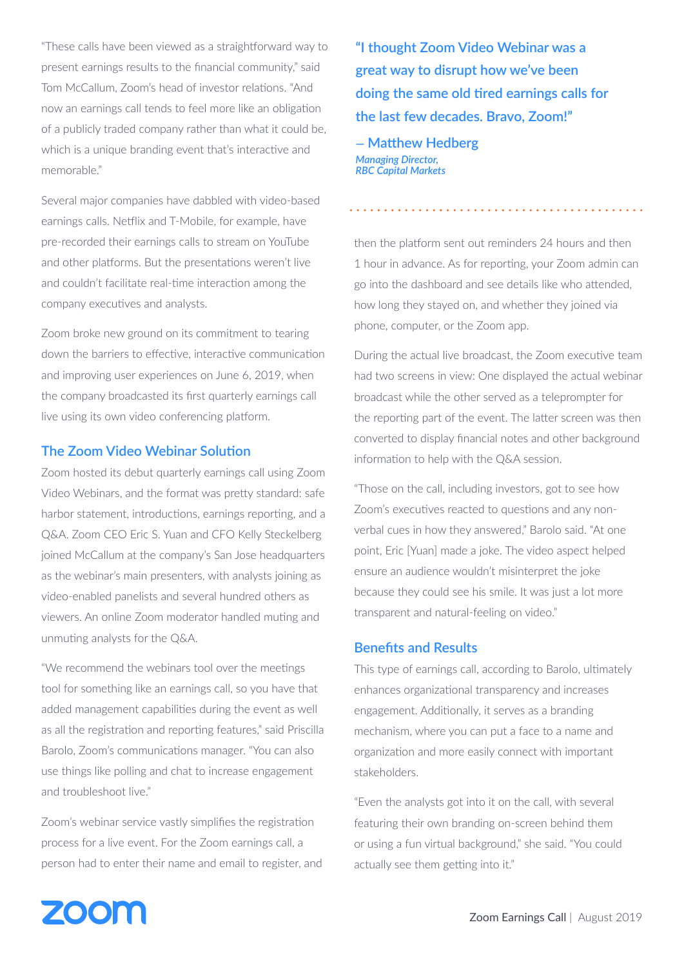"These calls have been viewed as a straightforward way to present earnings results to the financial community," said Tom McCallum, Zoom's head of investor relations. "And now an earnings call tends to feel more like an obligation of a publicly traded company rather than what it could be, which is a unique branding event that's interactive and memorable."

Several major companies have dabbled with video-based earnings calls. Netflix and T-Mobile, for example, have pre-recorded their earnings calls to stream on YouTube and other platforms. But the presentations weren't live and couldn't facilitate real-time interaction among the company executives and analysts.

Zoom broke new ground on its commitment to tearing down the barriers to effective, interactive communication and improving user experiences on June 6, 2019, when the company broadcasted its first quarterly earnings call live using its own video conferencing platform.

### **The Zoom Video Webinar Solution**

Zoom hosted its debut quarterly earnings call using Zoom Video Webinars, and the format was pretty standard: safe harbor statement, introductions, earnings reporting, and a Q&A. Zoom CEO Eric S. Yuan and CFO Kelly Steckelberg joined McCallum at the company's San Jose headquarters as the webinar's main presenters, with analysts joining as video-enabled panelists and several hundred others as viewers. An online Zoom moderator handled muting and unmuting analysts for the Q&A.

"We recommend the webinars tool over the meetings tool for something like an earnings call, so you have that added management capabilities during the event as well as all the registration and reporting features," said Priscilla Barolo, Zoom's communications manager. "You can also use things like polling and chat to increase engagement and troubleshoot live."

Zoom's webinar service vastly simplifies the registration process for a live event. For the Zoom earnings call, a person had to enter their name and email to register, and **"I thought Zoom Video Webinar was a great way to disrupt how we've been doing the same old tired earnings calls for the last few decades. Bravo, Zoom!"** 

**— Matthew Hedberg**  *Managing Director, RBC Capital Markets*

then the platform sent out reminders 24 hours and then 1 hour in advance. As for reporting, your Zoom admin can go into the dashboard and see details like who attended, how long they stayed on, and whether they joined via phone, computer, or the Zoom app.

During the actual live broadcast, the Zoom executive team had two screens in view: One displayed the actual webinar broadcast while the other served as a teleprompter for the reporting part of the event. The latter screen was then converted to display financial notes and other background information to help with the Q&A session.

"Those on the call, including investors, got to see how Zoom's executives reacted to questions and any nonverbal cues in how they answered," Barolo said. "At one point, Eric [Yuan] made a joke. The video aspect helped ensure an audience wouldn't misinterpret the joke because they could see his smile. It was just a lot more transparent and natural-feeling on video."

#### **Benefits and Results**

This type of earnings call, according to Barolo, ultimately enhances organizational transparency and increases engagement. Additionally, it serves as a branding mechanism, where you can put a face to a name and organization and more easily connect with important stakeholders.

"Even the analysts got into it on the call, with several featuring their own branding on-screen behind them or using a fun virtual background," she said. "You could actually see them getting into it."